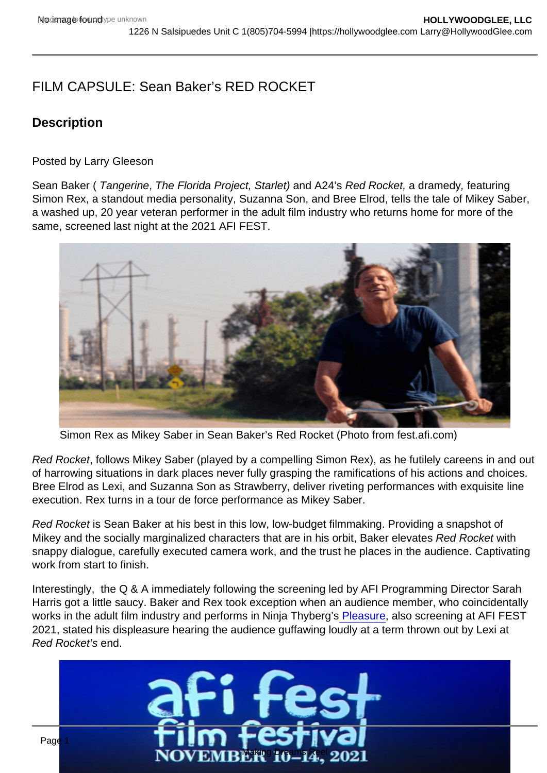# FILM CAPSULE: Sean Baker's RED ROCKET

## **Description**

Posted by Larry Gleeson

Sean Baker ( Tangerine, The Florida Project, Starlet) and A24's Red Rocket, a dramedy, featuring Simon Rex, a standout media personality, Suzanna Son, and Bree Elrod, tells the tale of Mikey Saber, a washed up, 20 year veteran performer in the adult film industry who returns home for more of the same, screened last night at the 2021 AFI FEST.

Simon Rex as Mikey Saber in Sean Baker's Red Rocket (Photo from fest.afi.com)

Red Rocket, follows Mikey Saber (played by a compelling Simon Rex), as he futilely careens in and out of harrowing situations in dark places never fully grasping the ramifications of his actions and choices. Bree Elrod as Lexi, and Suzanna Son as Strawberry, deliver riveting performances with exquisite line execution. Rex turns in a tour de force performance as Mikey Saber.

Red Rocket is Sean Baker at his best in this low, low-budget filmmaking. Providing a snapshot of Mikey and the socially marginalized characters that are in his orbit, Baker elevates Red Rocket with snappy dialogue, carefully executed camera work, and the trust he places in the audience. Captivating work from start to finish.

Interestingly, the Q & A immediately following the screening led by AFI Programming Director Sarah Harris got a little saucy. Baker and Rex took exception when an audience member, who coincidentally works in the adult film industry and performs in Ninja Thyberg'[s Pleasure,](https://hollywoodglee.com/2021/02/23/pleasure-ninja-t…therlands-france/) also screening at AFI FEST 2021, stated his displeasure hearing the audience guffawing loudly at a term thrown out by Lexi at Red Rocket's end.